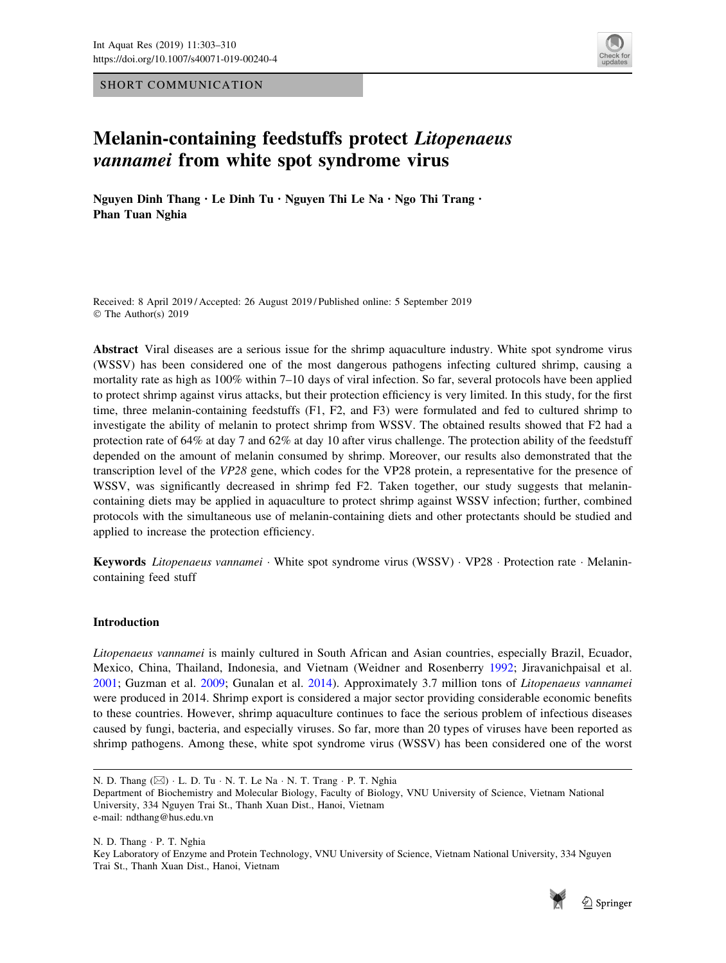SHORT COMMUNICATION



# Melanin-containing feedstuffs protect Litopenaeus vannamei from white spot syndrome virus

Nguyen Dinh Thang . Le Dinh Tu . Nguyen Thi Le Na . Ngo Thi Trang . Phan Tuan Nghia

Received: 8 April 2019 / Accepted: 26 August 2019 / Published online: 5 September 2019 © The Author(s) 2019

Abstract Viral diseases are a serious issue for the shrimp aquaculture industry. White spot syndrome virus (WSSV) has been considered one of the most dangerous pathogens infecting cultured shrimp, causing a mortality rate as high as 100% within 7–10 days of viral infection. So far, several protocols have been applied to protect shrimp against virus attacks, but their protection efficiency is very limited. In this study, for the first time, three melanin-containing feedstuffs (F1, F2, and F3) were formulated and fed to cultured shrimp to investigate the ability of melanin to protect shrimp from WSSV. The obtained results showed that F2 had a protection rate of 64% at day 7 and 62% at day 10 after virus challenge. The protection ability of the feedstuff depended on the amount of melanin consumed by shrimp. Moreover, our results also demonstrated that the transcription level of the VP28 gene, which codes for the VP28 protein, a representative for the presence of WSSV, was significantly decreased in shrimp fed F2. Taken together, our study suggests that melanincontaining diets may be applied in aquaculture to protect shrimp against WSSV infection; further, combined protocols with the simultaneous use of melanin-containing diets and other protectants should be studied and applied to increase the protection efficiency.

Keywords Litopenaeus vannamei · White spot syndrome virus (WSSV) · VP28 · Protection rate · Melanincontaining feed stuff

## Introduction

Litopenaeus vannamei is mainly cultured in South African and Asian countries, especially Brazil, Ecuador, Mexico, China, Thailand, Indonesia, and Vietnam (Weidner and Rosenberry [1992](#page-7-0); Jiravanichpaisal et al. [2001](#page-7-0); Guzman et al. [2009;](#page-7-0) Gunalan et al. [2014\)](#page-7-0). Approximately 3.7 million tons of Litopenaeus vannamei were produced in 2014. Shrimp export is considered a major sector providing considerable economic benefits to these countries. However, shrimp aquaculture continues to face the serious problem of infectious diseases caused by fungi, bacteria, and especially viruses. So far, more than 20 types of viruses have been reported as shrimp pathogens. Among these, white spot syndrome virus (WSSV) has been considered one of the worst

N. D. Thang - P. T. Nghia Key Laboratory of Enzyme and Protein Technology, VNU University of Science, Vietnam National University, 334 Nguyen Trai St., Thanh Xuan Dist., Hanoi, Vietnam



N. D. Thang (⊠) · L. D. Tu · N. T. Le Na · N. T. Trang · P. T. Nghia

Department of Biochemistry and Molecular Biology, Faculty of Biology, VNU University of Science, Vietnam National University, 334 Nguyen Trai St., Thanh Xuan Dist., Hanoi, Vietnam e-mail: ndthang@hus.edu.vn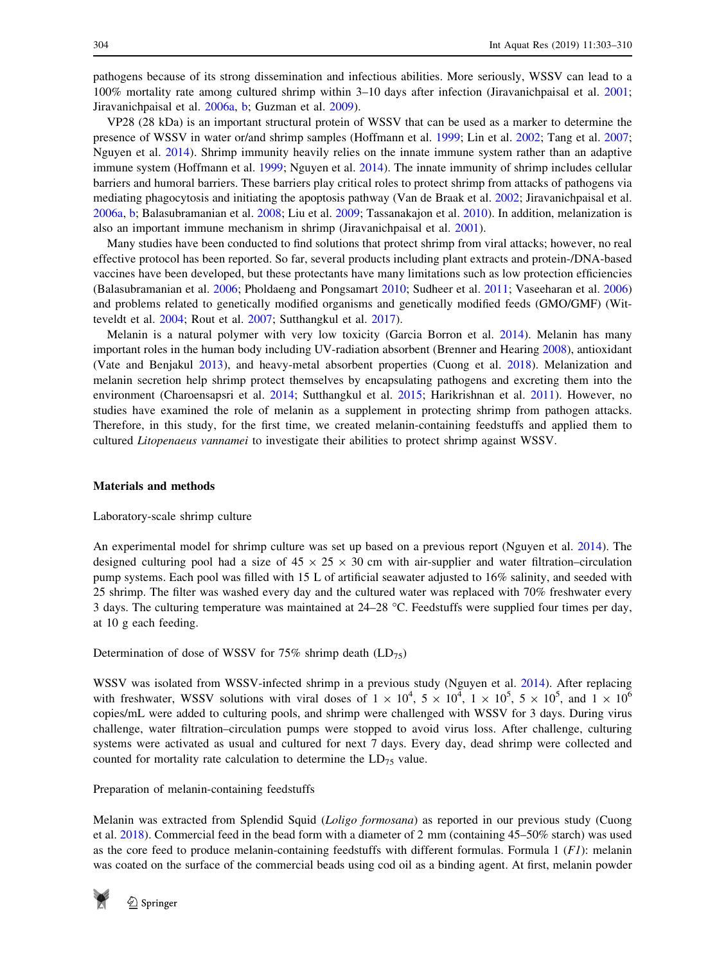pathogens because of its strong dissemination and infectious abilities. More seriously, WSSV can lead to a 100% mortality rate among cultured shrimp within 3–10 days after infection (Jiravanichpaisal et al. [2001;](#page-7-0) Jiravanichpaisal et al. [2006a,](#page-7-0) [b](#page-7-0); Guzman et al. [2009](#page-7-0)).

VP28 (28 kDa) is an important structural protein of WSSV that can be used as a marker to determine the presence of WSSV in water or/and shrimp samples (Hoffmann et al. [1999;](#page-7-0) Lin et al. [2002;](#page-7-0) Tang et al. [2007;](#page-7-0) Nguyen et al. [2014\)](#page-7-0). Shrimp immunity heavily relies on the innate immune system rather than an adaptive immune system (Hoffmann et al. [1999](#page-7-0); Nguyen et al. [2014\)](#page-7-0). The innate immunity of shrimp includes cellular barriers and humoral barriers. These barriers play critical roles to protect shrimp from attacks of pathogens via mediating phagocytosis and initiating the apoptosis pathway (Van de Braak et al. [2002](#page-7-0); Jiravanichpaisal et al. [2006a,](#page-7-0) [b](#page-7-0); Balasubramanian et al. [2008](#page-6-0); Liu et al. [2009](#page-7-0); Tassanakajon et al. [2010](#page-7-0)). In addition, melanization is also an important immune mechanism in shrimp (Jiravanichpaisal et al. [2001](#page-7-0)).

Many studies have been conducted to find solutions that protect shrimp from viral attacks; however, no real effective protocol has been reported. So far, several products including plant extracts and protein-/DNA-based vaccines have been developed, but these protectants have many limitations such as low protection efficiencies (Balasubramanian et al. [2006](#page-6-0); Pholdaeng and Pongsamart [2010](#page-7-0); Sudheer et al. [2011](#page-7-0); Vaseeharan et al. [2006](#page-7-0)) and problems related to genetically modified organisms and genetically modified feeds (GMO/GMF) (Witteveldt et al. [2004;](#page-7-0) Rout et al. [2007](#page-7-0); Sutthangkul et al. [2017\)](#page-7-0).

Melanin is a natural polymer with very low toxicity (Garcia Borron et al. [2014](#page-7-0)). Melanin has many important roles in the human body including UV-radiation absorbent (Brenner and Hearing [2008](#page-6-0)), antioxidant (Vate and Benjakul [2013](#page-7-0)), and heavy-metal absorbent properties (Cuong et al. [2018](#page-7-0)). Melanization and melanin secretion help shrimp protect themselves by encapsulating pathogens and excreting them into the environment (Charoensapsri et al. [2014;](#page-7-0) Sutthangkul et al. [2015;](#page-7-0) Harikrishnan et al. [2011](#page-7-0)). However, no studies have examined the role of melanin as a supplement in protecting shrimp from pathogen attacks. Therefore, in this study, for the first time, we created melanin-containing feedstuffs and applied them to cultured Litopenaeus vannamei to investigate their abilities to protect shrimp against WSSV.

## Materials and methods

## Laboratory-scale shrimp culture

An experimental model for shrimp culture was set up based on a previous report (Nguyen et al. [2014](#page-7-0)). The designed culturing pool had a size of  $45 \times 25 \times 30$  cm with air-supplier and water filtration–circulation pump systems. Each pool was filled with 15 L of artificial seawater adjusted to 16% salinity, and seeded with 25 shrimp. The filter was washed every day and the cultured water was replaced with 70% freshwater every 3 days. The culturing temperature was maintained at 24–28 C. Feedstuffs were supplied four times per day, at 10 g each feeding.

Determination of dose of WSSV for  $75\%$  shrimp death (LD<sub>75</sub>)

WSSV was isolated from WSSV-infected shrimp in a previous study (Nguyen et al. [2014](#page-7-0)). After replacing with freshwater, WSSV solutions with viral doses of  $1 \times 10^4$ ,  $5 \times 10^4$ ,  $1 \times 10^5$ ,  $5 \times 10^5$ , and  $1 \times 10^6$ copies/mL were added to culturing pools, and shrimp were challenged with WSSV for 3 days. During virus challenge, water filtration–circulation pumps were stopped to avoid virus loss. After challenge, culturing systems were activated as usual and cultured for next 7 days. Every day, dead shrimp were collected and counted for mortality rate calculation to determine the  $LD_{75}$  value.

## Preparation of melanin-containing feedstuffs

Melanin was extracted from Splendid Squid (Loligo formosana) as reported in our previous study (Cuong et al. [2018](#page-7-0)). Commercial feed in the bead form with a diameter of 2 mm (containing 45–50% starch) was used as the core feed to produce melanin-containing feedstuffs with different formulas. Formula 1  $(FI)$ : melanin was coated on the surface of the commercial beads using cod oil as a binding agent. At first, melanin powder

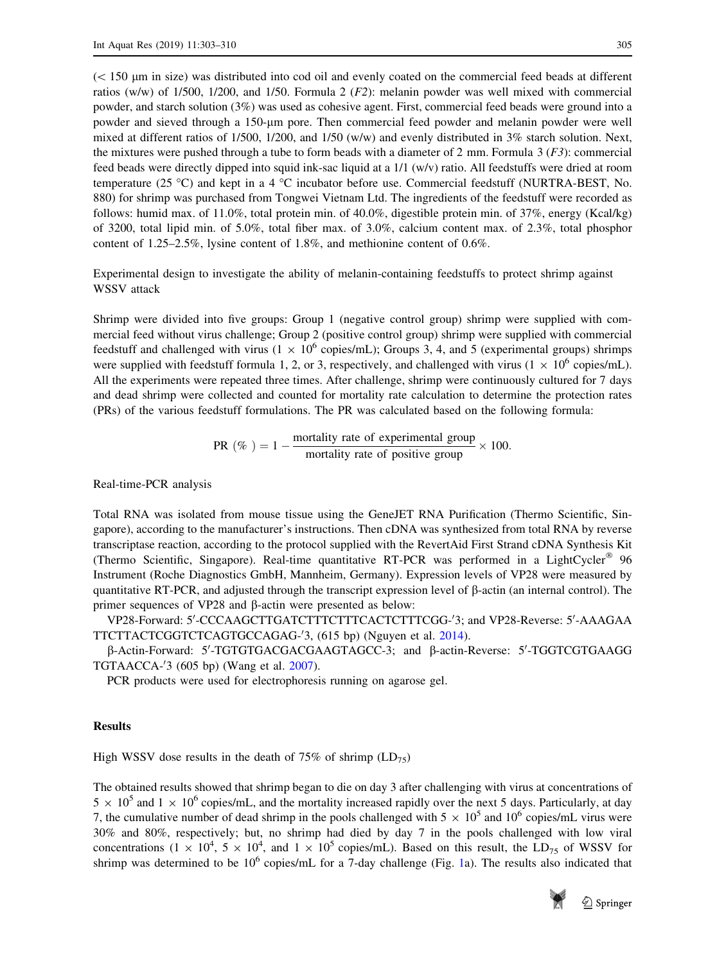$(< 150$  um in size) was distributed into cod oil and evenly coated on the commercial feed beads at different ratios (w/w) of 1/500, 1/200, and 1/50. Formula 2 (F2): melanin powder was well mixed with commercial powder, and starch solution (3%) was used as cohesive agent. First, commercial feed beads were ground into a powder and sieved through a 150-lm pore. Then commercial feed powder and melanin powder were well mixed at different ratios of 1/500, 1/200, and 1/50 (w/w) and evenly distributed in 3% starch solution. Next, the mixtures were pushed through a tube to form beads with a diameter of 2 mm. Formula  $3(F3)$ : commercial feed beads were directly dipped into squid ink-sac liquid at a 1/1 (w/v) ratio. All feedstuffs were dried at room temperature (25 °C) and kept in a 4 °C incubator before use. Commercial feedstuff (NURTRA-BEST, No. 880) for shrimp was purchased from Tongwei Vietnam Ltd. The ingredients of the feedstuff were recorded as follows: humid max. of 11.0%, total protein min. of 40.0%, digestible protein min. of 37%, energy (Kcal/kg) of 3200, total lipid min. of 5.0%, total fiber max. of 3.0%, calcium content max. of 2.3%, total phosphor content of 1.25–2.5%, lysine content of 1.8%, and methionine content of 0.6%.

Experimental design to investigate the ability of melanin-containing feedstuffs to protect shrimp against WSSV attack

Shrimp were divided into five groups: Group 1 (negative control group) shrimp were supplied with commercial feed without virus challenge; Group 2 (positive control group) shrimp were supplied with commercial feedstuff and challenged with virus ( $1 \times 10^6$  copies/mL); Groups 3, 4, and 5 (experimental groups) shrimps were supplied with feedstuff formula 1, 2, or 3, respectively, and challenged with virus ( $1 \times 10^6$  copies/mL). All the experiments were repeated three times. After challenge, shrimp were continuously cultured for 7 days and dead shrimp were collected and counted for mortality rate calculation to determine the protection rates (PRs) of the various feedstuff formulations. The PR was calculated based on the following formula:

PR (
$$
\%
$$
) = 1 - mortality rate of experimental group  
mortality rate of positive group × 100.

Real-time-PCR analysis

Total RNA was isolated from mouse tissue using the GeneJET RNA Purification (Thermo Scientific, Singapore), according to the manufacturer's instructions. Then cDNA was synthesized from total RNA by reverse transcriptase reaction, according to the protocol supplied with the RevertAid First Strand cDNA Synthesis Kit (Thermo Scientific, Singapore). Real-time quantitative RT-PCR was performed in a LightCycler<sup>®</sup> 96 Instrument (Roche Diagnostics GmbH, Mannheim, Germany). Expression levels of VP28 were measured by quantitative RT-PCR, and adjusted through the transcript expression level of  $\beta$ -actin (an internal control). The primer sequences of VP28 and  $\beta$ -actin were presented as below:

VP28-Forward: 5'-CCCAAGCTTGATCTTTCTTTCACTCTTTCGG-'3; and VP28-Reverse: 5'-AAAGAA TTCTTACTCGGTCTCAGTGCCAGAG-'3, (615 bp) (Nguyen et al. [2014\)](#page-7-0).

 $\beta$ -Actin-Forward: 5'-TGTGTGACGACGAAGTAGCC-3; and  $\beta$ -actin-Reverse: 5'-TGGTCGTGAAGG TGTAACCA-'3 (605 bp) (Wang et al. [2007](#page-7-0)).

PCR products were used for electrophoresis running on agarose gel.

# Results

High WSSV dose results in the death of 75% of shrimp  $(LD_{75})$ 

The obtained results showed that shrimp began to die on day 3 after challenging with virus at concentrations of  $5 \times 10^5$  and  $1 \times 10^6$  copies/mL, and the mortality increased rapidly over the next 5 days. Particularly, at day 7, the cumulative number of dead shrimp in the pools challenged with  $5 \times 10^5$  and  $10^6$  copies/mL virus were 30% and 80%, respectively; but, no shrimp had died by day 7 in the pools challenged with low viral concentrations  $(1 \times 10^4, 5 \times 10^4, \text{ and } 1 \times 10^5 \text{ copies/mL})$ . Based on this result, the LD<sub>75</sub> of WSSV for shrimp was determined to be  $10^6$  $10^6$  copies/mL for a 7-day challenge (Fig. 1a). The results also indicated that

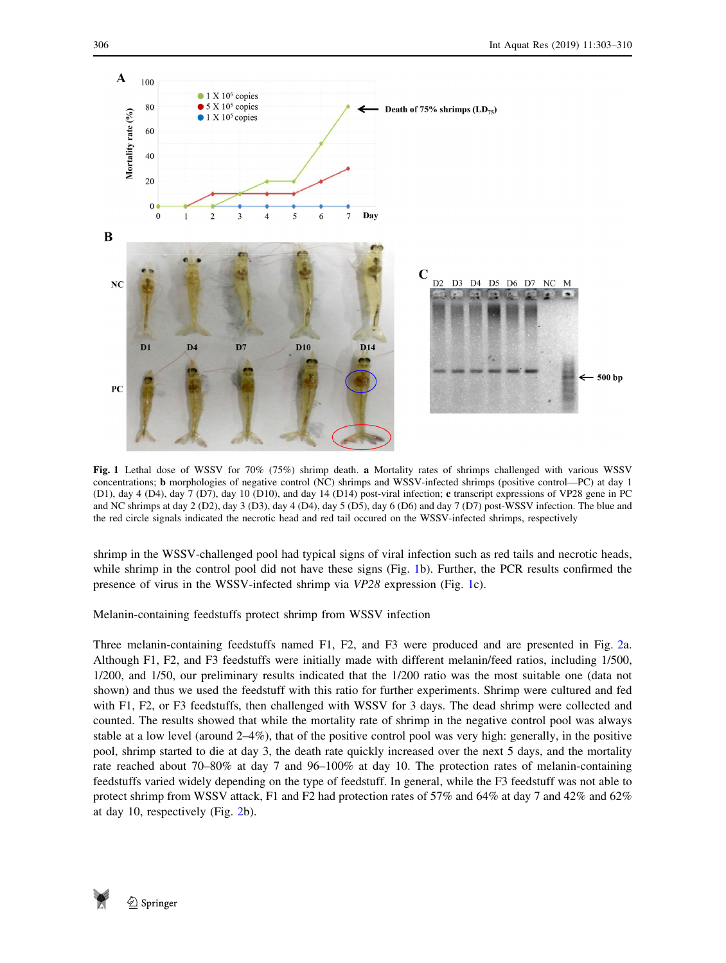<span id="page-3-0"></span>

Fig. 1 Lethal dose of WSSV for 70% (75%) shrimp death. a Mortality rates of shrimps challenged with various WSSV concentrations; b morphologies of negative control (NC) shrimps and WSSV-infected shrimps (positive control—PC) at day 1 (D1), day 4 (D4), day 7 (D7), day 10 (D10), and day 14 (D14) post-viral infection; c transcript expressions of VP28 gene in PC and NC shrimps at day 2 (D2), day 3 (D3), day 4 (D4), day 5 (D5), day 6 (D6) and day 7 (D7) post-WSSV infection. The blue and the red circle signals indicated the necrotic head and red tail occured on the WSSV-infected shrimps, respectively

shrimp in the WSSV-challenged pool had typical signs of viral infection such as red tails and necrotic heads, while shrimp in the control pool did not have these signs (Fig. 1b). Further, the PCR results confirmed the presence of virus in the WSSV-infected shrimp via VP28 expression (Fig. 1c).

Melanin-containing feedstuffs protect shrimp from WSSV infection

Three melanin-containing feedstuffs named F1, F2, and F3 were produced and are presented in Fig. [2a](#page-4-0). Although F1, F2, and F3 feedstuffs were initially made with different melanin/feed ratios, including 1/500, 1/200, and 1/50, our preliminary results indicated that the 1/200 ratio was the most suitable one (data not shown) and thus we used the feedstuff with this ratio for further experiments. Shrimp were cultured and fed with F1, F2, or F3 feedstuffs, then challenged with WSSV for 3 days. The dead shrimp were collected and counted. The results showed that while the mortality rate of shrimp in the negative control pool was always stable at a low level (around 2–4%), that of the positive control pool was very high: generally, in the positive pool, shrimp started to die at day 3, the death rate quickly increased over the next 5 days, and the mortality rate reached about 70–80% at day 7 and 96–100% at day 10. The protection rates of melanin-containing feedstuffs varied widely depending on the type of feedstuff. In general, while the F3 feedstuff was not able to protect shrimp from WSSV attack, F1 and F2 had protection rates of 57% and 64% at day 7 and 42% and 62% at day 10, respectively (Fig. [2b](#page-4-0)).

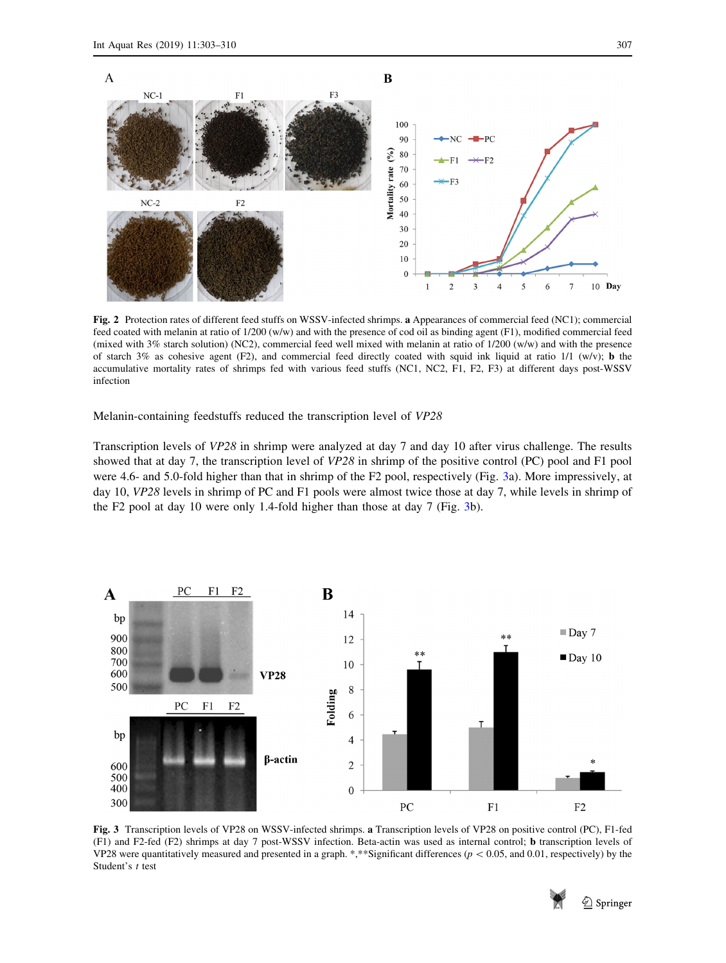<span id="page-4-0"></span>

Fig. 2 Protection rates of different feed stuffs on WSSV-infected shrimps. a Appearances of commercial feed (NC1); commercial feed coated with melanin at ratio of 1/200 (w/w) and with the presence of cod oil as binding agent (F1), modified commercial feed (mixed with 3% starch solution) (NC2), commercial feed well mixed with melanin at ratio of 1/200 (w/w) and with the presence of starch 3% as cohesive agent (F2), and commercial feed directly coated with squid ink liquid at ratio 1/1 (w/v); **b** the accumulative mortality rates of shrimps fed with various feed stuffs (NC1, NC2, F1, F2, F3) at different days post-WSSV infection

Melanin-containing feedstuffs reduced the transcription level of VP28

Transcription levels of VP28 in shrimp were analyzed at day 7 and day 10 after virus challenge. The results showed that at day 7, the transcription level of VP28 in shrimp of the positive control (PC) pool and F1 pool were 4.6- and 5.0-fold higher than that in shrimp of the F2 pool, respectively (Fig. 3a). More impressively, at day 10, VP28 levels in shrimp of PC and F1 pools were almost twice those at day 7, while levels in shrimp of the F2 pool at day 10 were only 1.4-fold higher than those at day 7 (Fig. 3b).



Fig. 3 Transcription levels of VP28 on WSSV-infected shrimps. a Transcription levels of VP28 on positive control (PC), F1-fed (F1) and F2-fed (F2) shrimps at day 7 post-WSSV infection. Beta-actin was used as internal control; b transcription levels of VP28 were quantitatively measured and presented in a graph. \*,\*\*Significant differences ( $p \lt 0.05$ , and 0.01, respectively) by the Student's t test

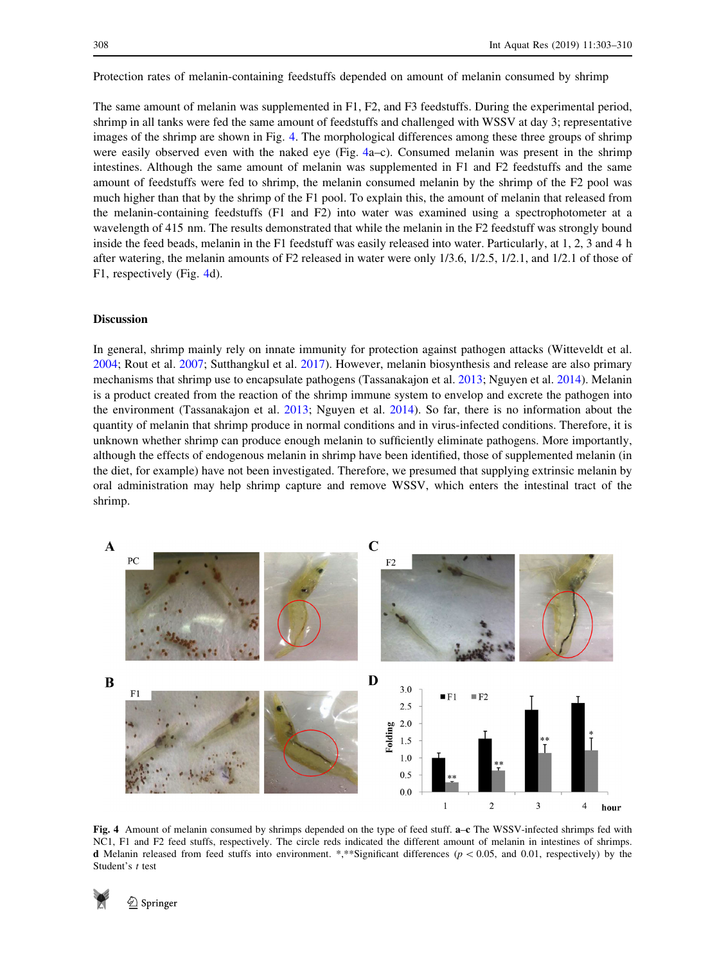Protection rates of melanin-containing feedstuffs depended on amount of melanin consumed by shrimp

The same amount of melanin was supplemented in F1, F2, and F3 feedstuffs. During the experimental period, shrimp in all tanks were fed the same amount of feedstuffs and challenged with WSSV at day 3; representative images of the shrimp are shown in Fig. 4. The morphological differences among these three groups of shrimp were easily observed even with the naked eye (Fig. 4a–c). Consumed melanin was present in the shrimp intestines. Although the same amount of melanin was supplemented in F1 and F2 feedstuffs and the same amount of feedstuffs were fed to shrimp, the melanin consumed melanin by the shrimp of the F2 pool was much higher than that by the shrimp of the F1 pool. To explain this, the amount of melanin that released from the melanin-containing feedstuffs (F1 and F2) into water was examined using a spectrophotometer at a wavelength of 415 nm. The results demonstrated that while the melanin in the F2 feedstuff was strongly bound inside the feed beads, melanin in the F1 feedstuff was easily released into water. Particularly, at 1, 2, 3 and 4 h after watering, the melanin amounts of F2 released in water were only 1/3.6, 1/2.5, 1/2.1, and 1/2.1 of those of F1, respectively (Fig. 4d).

# Discussion

In general, shrimp mainly rely on innate immunity for protection against pathogen attacks (Witteveldt et al. [2004](#page-7-0); Rout et al. [2007](#page-7-0); Sutthangkul et al. [2017\)](#page-7-0). However, melanin biosynthesis and release are also primary mechanisms that shrimp use to encapsulate pathogens (Tassanakajon et al. [2013](#page-7-0); Nguyen et al. [2014](#page-7-0)). Melanin is a product created from the reaction of the shrimp immune system to envelop and excrete the pathogen into the environment (Tassanakajon et al. [2013](#page-7-0); Nguyen et al. [2014\)](#page-7-0). So far, there is no information about the quantity of melanin that shrimp produce in normal conditions and in virus-infected conditions. Therefore, it is unknown whether shrimp can produce enough melanin to sufficiently eliminate pathogens. More importantly, although the effects of endogenous melanin in shrimp have been identified, those of supplemented melanin (in the diet, for example) have not been investigated. Therefore, we presumed that supplying extrinsic melanin by oral administration may help shrimp capture and remove WSSV, which enters the intestinal tract of the shrimp.



Fig. 4 Amount of melanin consumed by shrimps depended on the type of feed stuff. a–c The WSSV-infected shrimps fed with NC1, F1 and F2 feed stuffs, respectively. The circle reds indicated the different amount of melanin in intestines of shrimps. **d** Melanin released from feed stuffs into environment. \*,\*\*Significant differences  $(p<0.05$ , and 0.01, respectively) by the Student's t test

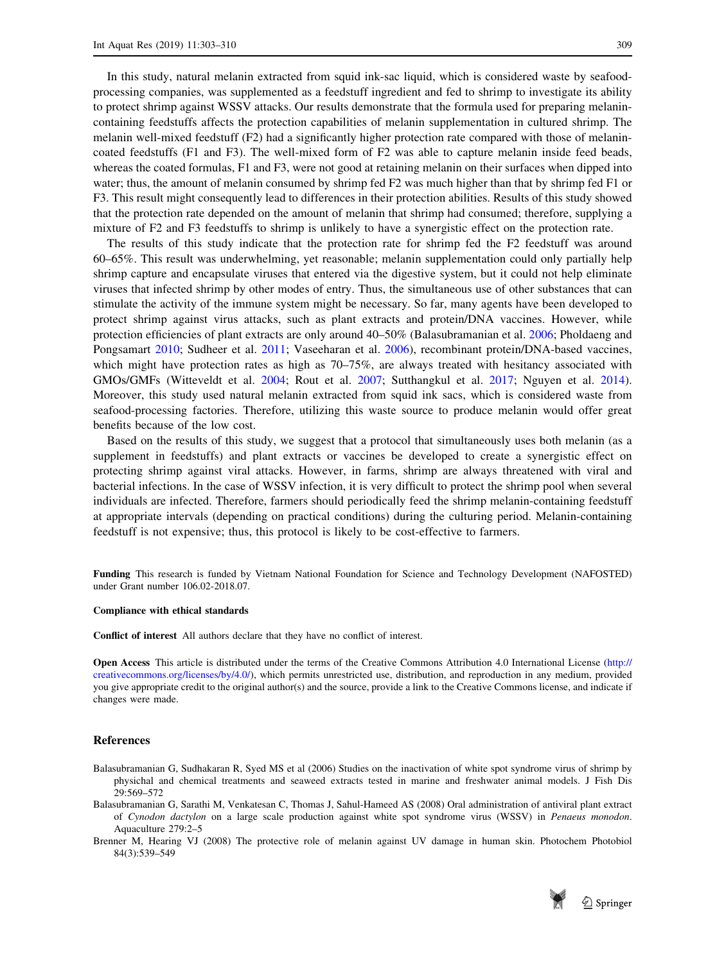<span id="page-6-0"></span>In this study, natural melanin extracted from squid ink-sac liquid, which is considered waste by seafoodprocessing companies, was supplemented as a feedstuff ingredient and fed to shrimp to investigate its ability to protect shrimp against WSSV attacks. Our results demonstrate that the formula used for preparing melanincontaining feedstuffs affects the protection capabilities of melanin supplementation in cultured shrimp. The melanin well-mixed feedstuff (F2) had a significantly higher protection rate compared with those of melanincoated feedstuffs (F1 and F3). The well-mixed form of F2 was able to capture melanin inside feed beads, whereas the coated formulas, F1 and F3, were not good at retaining melanin on their surfaces when dipped into water; thus, the amount of melanin consumed by shrimp fed F2 was much higher than that by shrimp fed F1 or F3. This result might consequently lead to differences in their protection abilities. Results of this study showed that the protection rate depended on the amount of melanin that shrimp had consumed; therefore, supplying a mixture of F2 and F3 feedstuffs to shrimp is unlikely to have a synergistic effect on the protection rate.

The results of this study indicate that the protection rate for shrimp fed the F2 feedstuff was around 60–65%. This result was underwhelming, yet reasonable; melanin supplementation could only partially help shrimp capture and encapsulate viruses that entered via the digestive system, but it could not help eliminate viruses that infected shrimp by other modes of entry. Thus, the simultaneous use of other substances that can stimulate the activity of the immune system might be necessary. So far, many agents have been developed to protect shrimp against virus attacks, such as plant extracts and protein/DNA vaccines. However, while protection efficiencies of plant extracts are only around 40–50% (Balasubramanian et al. 2006; Pholdaeng and Pongsamart [2010](#page-7-0); Sudheer et al. [2011;](#page-7-0) Vaseeharan et al. [2006\)](#page-7-0), recombinant protein/DNA-based vaccines, which might have protection rates as high as  $70-75\%$ , are always treated with hesitancy associated with GMOs/GMFs (Witteveldt et al. [2004](#page-7-0); Rout et al. [2007;](#page-7-0) Sutthangkul et al. [2017;](#page-7-0) Nguyen et al. [2014\)](#page-7-0). Moreover, this study used natural melanin extracted from squid ink sacs, which is considered waste from seafood-processing factories. Therefore, utilizing this waste source to produce melanin would offer great benefits because of the low cost.

Based on the results of this study, we suggest that a protocol that simultaneously uses both melanin (as a supplement in feedstuffs) and plant extracts or vaccines be developed to create a synergistic effect on protecting shrimp against viral attacks. However, in farms, shrimp are always threatened with viral and bacterial infections. In the case of WSSV infection, it is very difficult to protect the shrimp pool when several individuals are infected. Therefore, farmers should periodically feed the shrimp melanin-containing feedstuff at appropriate intervals (depending on practical conditions) during the culturing period. Melanin-containing feedstuff is not expensive; thus, this protocol is likely to be cost-effective to farmers.

Funding This research is funded by Vietnam National Foundation for Science and Technology Development (NAFOSTED) under Grant number 106.02-2018.07.

## Compliance with ethical standards

Conflict of interest All authors declare that they have no conflict of interest.

Open Access This article is distributed under the terms of the Creative Commons Attribution 4.0 International License [\(http://](http://creativecommons.org/licenses/by/4.0/) [creativecommons.org/licenses/by/4.0/](http://creativecommons.org/licenses/by/4.0/)), which permits unrestricted use, distribution, and reproduction in any medium, provided you give appropriate credit to the original author(s) and the source, provide a link to the Creative Commons license, and indicate if changes were made.

#### References

- Balasubramanian G, Sudhakaran R, Syed MS et al (2006) Studies on the inactivation of white spot syndrome virus of shrimp by physichal and chemical treatments and seaweed extracts tested in marine and freshwater animal models. J Fish Dis 29:569–572
- Balasubramanian G, Sarathi M, Venkatesan C, Thomas J, Sahul-Hameed AS (2008) Oral administration of antiviral plant extract of Cynodon dactylon on a large scale production against white spot syndrome virus (WSSV) in Penaeus monodon. Aquaculture 279:2–5
- Brenner M, Hearing VJ (2008) The protective role of melanin against UV damage in human skin. Photochem Photobiol 84(3):539–549